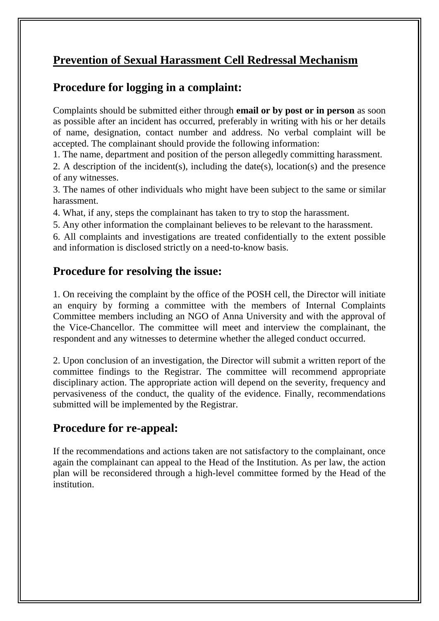#### **Prevention of Sexual Harassment Cell Redressal Mechanism**

#### **Procedure for logging in a complaint:**

Complaints should be submitted either through **email or by post or in person** as soon as possible after an incident has occurred, preferably in writing with his or her details of name, designation, contact number and address. No verbal complaint will be accepted. The complainant should provide the following information:

1. The name, department and position of the person allegedly committing harassment.

2. A description of the incident(s), including the date(s), location(s) and the presence of any witnesses.

3. The names of other individuals who might have been subject to the same or similar harassment.

4. What, if any, steps the complainant has taken to try to stop the harassment.

5. Any other information the complainant believes to be relevant to the harassment.

6. All complaints and investigations are treated confidentially to the extent possible and information is disclosed strictly on a need-to-know basis.

#### **Procedure for resolving the issue:**

1. On receiving the complaint by the office of the POSH cell, the Director will initiate an enquiry by forming a committee with the members of Internal Complaints Committee members including an NGO of Anna University and with the approval of the Vice-Chancellor. The committee will meet and interview the complainant, the respondent and any witnesses to determine whether the alleged conduct occurred.

2. Upon conclusion of an investigation, the Director will submit a written report of the committee findings to the Registrar. The committee will recommend appropriate disciplinary action. The appropriate action will depend on the severity, frequency and pervasiveness of the conduct, the quality of the evidence. Finally, recommendations submitted will be implemented by the Registrar.

#### **Procedure for re-appeal:**

If the recommendations and actions taken are not satisfactory to the complainant, once again the complainant can appeal to the Head of the Institution. As per law, the action plan will be reconsidered through a high-level committee formed by the Head of the institution.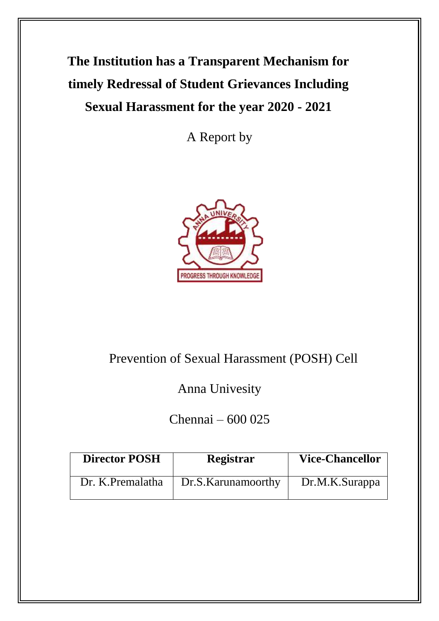# **The Institution has a Transparent Mechanism for timely Redressal of Student Grievances Including Sexual Harassment for the year 2020 - 2021**

A Report by



## Prevention of Sexual Harassment (POSH) Cell

Anna Univesity

Chennai – 600 025

| <b>Director POSH</b> | Registrar          | <b>Vice-Chancellor</b> |  |  |  |
|----------------------|--------------------|------------------------|--|--|--|
| Dr. K.Premalatha     | Dr.S.Karunamoorthy | Dr.M.K.Surappa         |  |  |  |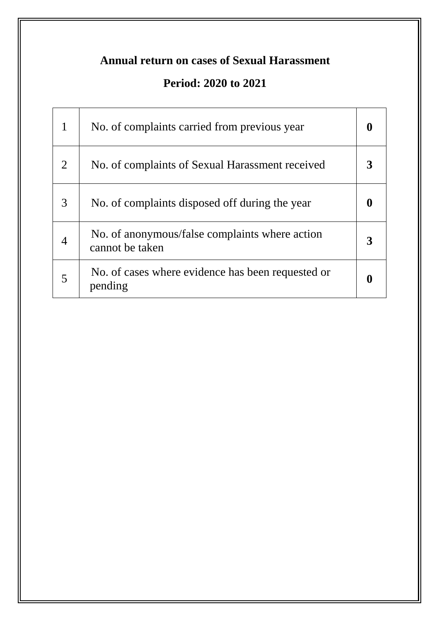## **Period: 2020 to 2021**

| 1              | No. of complaints carried from previous year                      |  |
|----------------|-------------------------------------------------------------------|--|
| $\overline{2}$ | No. of complaints of Sexual Harassment received                   |  |
| 3              | No. of complaints disposed off during the year                    |  |
|                | No. of anonymous/false complaints where action<br>cannot be taken |  |
| 5              | No. of cases where evidence has been requested or<br>pending      |  |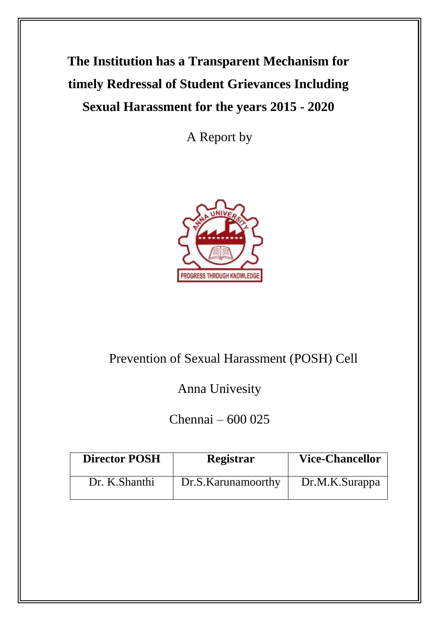# **The Institution has a Transparent Mechanism for timely Redressal of Student Grievances Including Sexual Harassment for the years 2015 - 2020**

A Report by



## Prevention of Sexual Harassment (POSH) Cell

Anna Univesity

Chennai – 600 025

| <b>Director POSH</b> | Registrar           | <b>Vice-Chancellor</b> |  |  |  |
|----------------------|---------------------|------------------------|--|--|--|
| Dr. K.Shanthi        | Dr.S. Karunamoorthy | Dr.M.K.Surappa         |  |  |  |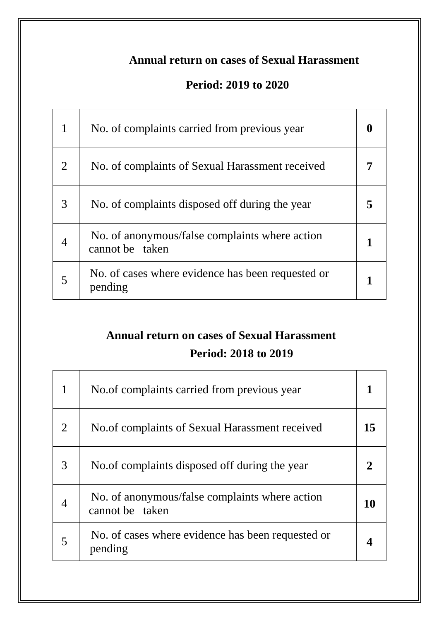#### **Period: 2019 to 2020**

| 1              | No. of complaints carried from previous year                      |  |  |
|----------------|-------------------------------------------------------------------|--|--|
| $\overline{2}$ | No. of complaints of Sexual Harassment received                   |  |  |
| 3              | No. of complaints disposed off during the year                    |  |  |
|                | No. of anonymous/false complaints where action<br>cannot be taken |  |  |
| 5              | No. of cases where evidence has been requested or<br>pending      |  |  |

# **Annual return on cases of Sexual Harassment**

#### **Period: 2018 to 2019**

| 1              | No. of complaints carried from previous year                      |    |
|----------------|-------------------------------------------------------------------|----|
| $\overline{2}$ | No. of complaints of Sexual Harassment received                   | 15 |
| 3              | No. of complaints disposed off during the year                    |    |
| 4              | No. of anonymous/false complaints where action<br>cannot be taken | 10 |
| 5              | No. of cases where evidence has been requested or<br>pending      |    |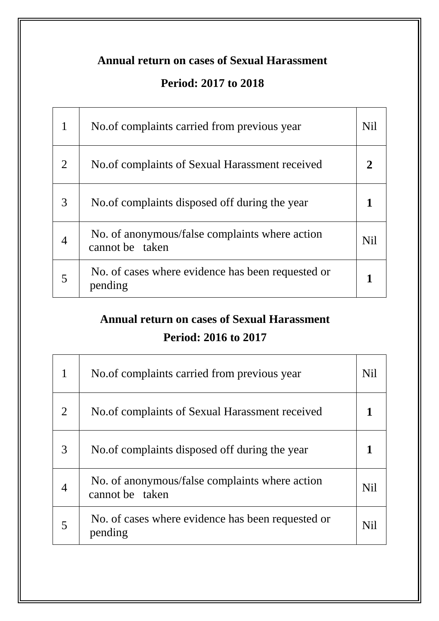### **Period: 2017 to 2018**

| $\mathbf{1}$   | No. of complaints carried from previous year                      | <b>Nil</b> |
|----------------|-------------------------------------------------------------------|------------|
| $\overline{2}$ | No. of complaints of Sexual Harassment received                   |            |
| 3              | No. of complaints disposed off during the year                    |            |
| $\overline{4}$ | No. of anonymous/false complaints where action<br>cannot be taken | <b>Nil</b> |
| 5              | No. of cases where evidence has been requested or<br>pending      |            |

## **Annual return on cases of Sexual Harassment Period: 2016 to 2017**

| 1              | No. of complaints carried from previous year                      | <b>Nil</b> |
|----------------|-------------------------------------------------------------------|------------|
| $\overline{2}$ | No. of complaints of Sexual Harassment received                   |            |
| 3              | No. of complaints disposed off during the year                    |            |
| $\overline{4}$ | No. of anonymous/false complaints where action<br>cannot be taken | <b>Nil</b> |
| 5              | No. of cases where evidence has been requested or<br>pending      | Nil        |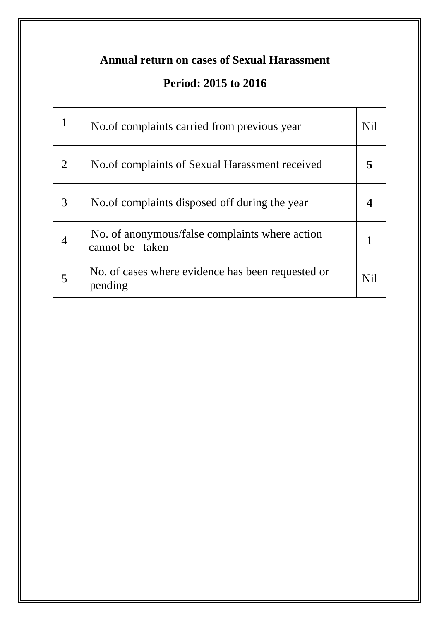## **Period: 2015 to 2016**

|                | No. of complaints carried from previous year                      | <b>Nil</b> |
|----------------|-------------------------------------------------------------------|------------|
| $\overline{2}$ | No. of complaints of Sexual Harassment received                   |            |
| 3              | No. of complaints disposed off during the year                    |            |
| 4              | No. of anonymous/false complaints where action<br>cannot be taken |            |
| 5              | No. of cases where evidence has been requested or<br>pending      | Nil        |